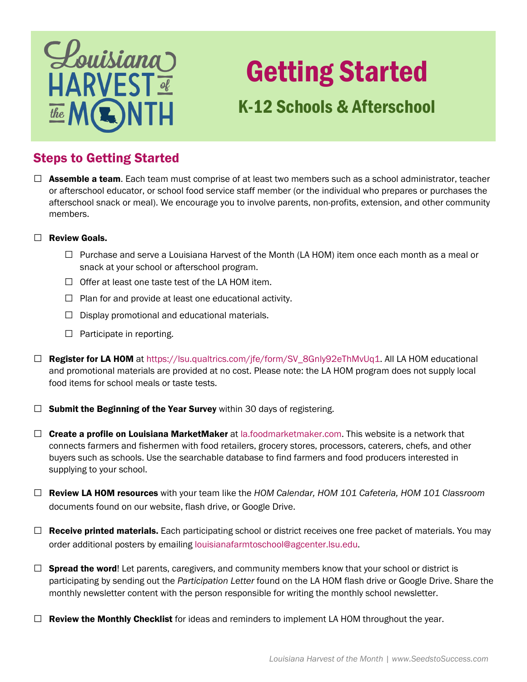

# Getting Started

# K-12 Schools & Afterschool

### Steps to Getting Started

- □ Assemble a team. Each team must comprise of at least two members such as a school administrator, teacher or afterschool educator, or school food service staff member (or the individual who prepares or purchases the afterschool snack or meal). We encourage you to involve parents, non-profits, extension, and other community members.
- □ Review Goals.
	- □ Purchase and serve a Louisiana Harvest of the Month (LA HOM) item once each month as a meal or snack at your school or afterschool program.
	- $\Box$  Offer at least one taste test of the LA HOM item.
	- $\Box$  Plan for and provide at least one educational activity.
	- $\Box$  Display promotional and educational materials.
	- $\Box$  Participate in reporting.
- □ Register for LA HOM at [https://lsu.qualtrics.com/jfe/form/SV\\_8Gnly92eThMvUq1](https://lsu.qualtrics.com/jfe/form/SV_8Gnly92eThMvUq1). All LA HOM educational and promotional materials are provided at no cost. Please note: the LA HOM program does not supply local food items for school meals or taste tests.
- $\Box$  Submit the Beginning of the Year Survey within 30 days of registering.
- connects farmers and fishermen with food retailers, grocery stores, processors, caterers, chefs, and other buyers such as schools. Use the searchable database to find farmers and food producers interested in  $\Box$  Create a profile on Louisiana MarketMaker at [la.foodmarketmaker.com.](https://la.foodmarketmaker.com) This website is a network that supplying to your school.
- □ Review LA HOM resources with your team like the *HOM Calendar, HOM 101 Cafeteria, HOM 101 Classroom* documents found on our website, flash drive, or Google Drive.
- $\Box$  **Receive printed materials.** Each participating school or district receives one free packet of materials. You may order additional posters by emailing [louisianafarmtoschool@agcenter.lsu.edu.](mailto:louisianafarmtoschool@agcenter.lsu.edu)
- $\Box$  Spread the word! Let parents, caregivers, and community members know that your school or district is participating by sending out the *Participation Letter* found on the LA HOM flash drive or Google Drive. Share the monthly newsletter content with the person responsible for writing the monthly school newsletter.
- $\Box$  Review the Monthly Checklist for ideas and reminders to implement LA HOM throughout the year.